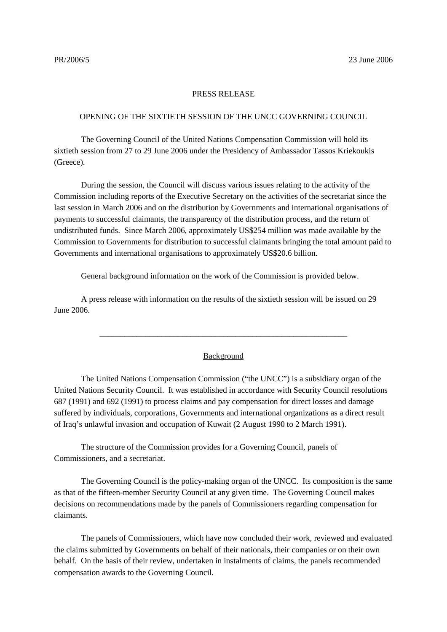## PRESS RELEASE

## OPENING OF THE SIXTIETH SESSION OF THE UNCC GOVERNING COUNCIL

The Governing Council of the United Nations Compensation Commission will hold its sixtieth session from 27 to 29 June 2006 under the Presidency of Ambassador Tassos Kriekoukis (Greece).

During the session, the Council will discuss various issues relating to the activity of the Commission including reports of the Executive Secretary on the activities of the secretariat since the last session in March 2006 and on the distribution by Governments and international organisations of payments to successful claimants, the transparency of the distribution process, and the return of undistributed funds. Since March 2006, approximately US\$254 million was made available by the Commission to Governments for distribution to successful claimants bringing the total amount paid to Governments and international organisations to approximately US\$20.6 billion.

General background information on the work of the Commission is provided below.

A press release with information on the results of the sixtieth session will be issued on 29 June 2006.

## Background

\_\_\_\_\_\_\_\_\_\_\_\_\_\_\_\_\_\_\_\_\_\_\_\_\_\_\_\_\_\_\_\_\_\_\_\_\_\_\_\_\_\_\_\_\_\_\_\_\_\_\_\_\_\_\_\_\_\_\_\_

The United Nations Compensation Commission ("the UNCC") is a subsidiary organ of the United Nations Security Council. It was established in accordance with Security Council resolutions 687 (1991) and 692 (1991) to process claims and pay compensation for direct losses and damage suffered by individuals, corporations, Governments and international organizations as a direct result of Iraq's unlawful invasion and occupation of Kuwait (2 August 1990 to 2 March 1991).

The structure of the Commission provides for a Governing Council, panels of Commissioners, and a secretariat.

The Governing Council is the policy-making organ of the UNCC. Its composition is the same as that of the fifteen-member Security Council at any given time. The Governing Council makes decisions on recommendations made by the panels of Commissioners regarding compensation for claimants.

The panels of Commissioners, which have now concluded their work, reviewed and evaluated the claims submitted by Governments on behalf of their nationals, their companies or on their own behalf. On the basis of their review, undertaken in instalments of claims, the panels recommended compensation awards to the Governing Council.